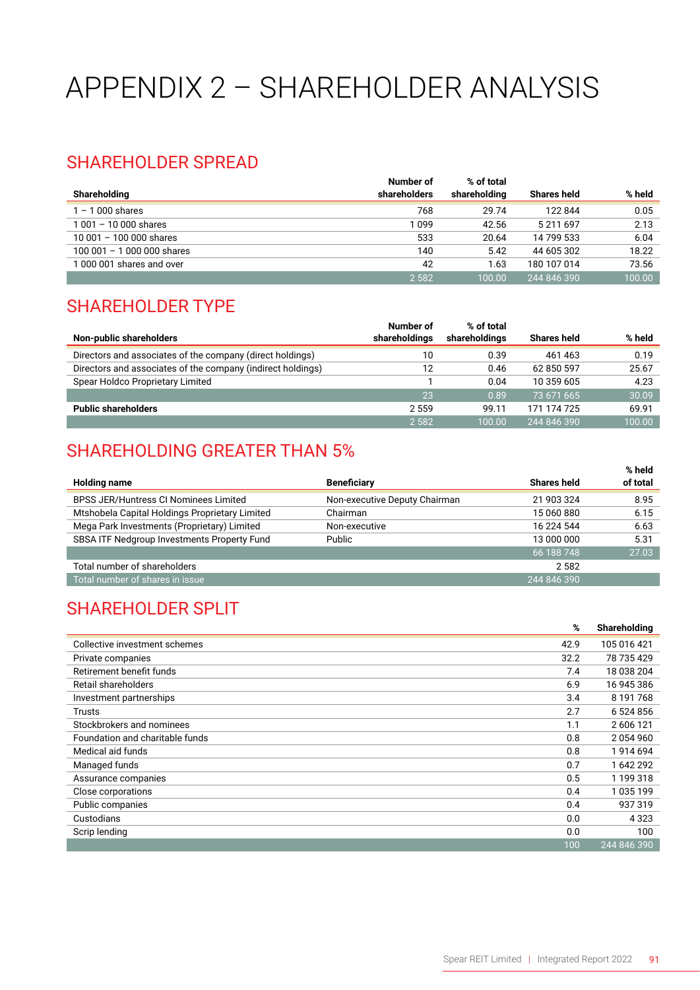# APPENDIX 2 – SHAREHOLDER ANALYSIS

#### SHAREHOLDER SPREAD

|                              | Number of    | % of total   |                    |        |
|------------------------------|--------------|--------------|--------------------|--------|
| Shareholding                 | shareholders | shareholding | <b>Shares held</b> | % held |
| $1 - 1000$ shares            | 768          | 29.74        | 122844             | 0.05   |
| $1001 - 10000$ shares        | 1 099        | 42.56        | 5 211 697          | 2.13   |
| $10001 - 10000$ shares       | 533          | 20.64        | 14 799 533         | 6.04   |
| 100 001 $-$ 1 000 000 shares | 140          | 5.42         | 44 605 302         | 18.22  |
| 1000 001 shares and over     | 42           | 1.63         | 180 107 014        | 73.56  |
|                              | 2 5 8 2      | 100.00       | 244 846 390        | 100.00 |

#### SHAREHOLDER TYPE

|                                                             | Number of     | % of total    |                    |        |
|-------------------------------------------------------------|---------------|---------------|--------------------|--------|
| Non-public shareholders                                     | shareholdings | shareholdings | <b>Shares held</b> | % held |
| Directors and associates of the company (direct holdings)   | 10            | 0.39          | 461 463            | 0.19   |
| Directors and associates of the company (indirect holdings) | 12            | 0.46          | 62 850 597         | 25.67  |
| Spear Holdco Proprietary Limited                            |               | 0.04          | 10 359 605         | 4.23   |
|                                                             | 23            | 0.89          | 73 671 665         | 30.09  |
| <b>Public shareholders</b>                                  | 2 5 5 9       | 99.11         | 171 174 725        | 69.91  |
|                                                             | 2 5 8 2       | 100.00        | 244 846 390        | 100.00 |

#### SHAREHOLDING GREATER THAN 5%

|                                                |                               |                    | % held   |
|------------------------------------------------|-------------------------------|--------------------|----------|
| <b>Holding name</b>                            | <b>Beneficiary</b>            | <b>Shares held</b> | of total |
| <b>BPSS JER/Huntress CI Nominees Limited</b>   | Non-executive Deputy Chairman | 21 903 324         | 8.95     |
| Mtshobela Capital Holdings Proprietary Limited | Chairman                      | 15 060 880         | 6.15     |
| Mega Park Investments (Proprietary) Limited    | Non-executive                 | 16 224 544         | 6.63     |
| SBSA ITF Nedgroup Investments Property Fund    | Public                        | 13 000 000         | 5.31     |
|                                                |                               | 66 188 748         | 27.03    |
| Total number of shareholders                   |                               | 2582               |          |
| Total number of shares in issue                |                               | 244 846 390        |          |

### SHAREHOLDER SPLIT

|                                 | %    | Shareholding |
|---------------------------------|------|--------------|
| Collective investment schemes   | 42.9 | 105 016 421  |
| Private companies               | 32.2 | 78 735 429   |
| Retirement benefit funds        | 7.4  | 18 038 204   |
| Retail shareholders             | 6.9  | 16 945 386   |
| Investment partnerships         | 3.4  | 8 191 768    |
| <b>Trusts</b>                   | 2.7  | 6 524 856    |
| Stockbrokers and nominees       | 1.1  | 2 606 121    |
| Foundation and charitable funds | 0.8  | 2054960      |
| Medical aid funds               | 0.8  | 1914694      |
| Managed funds                   | 0.7  | 1642292      |
| Assurance companies             | 0.5  | 1 199 318    |
| Close corporations              | 0.4  | 1035199      |
| Public companies                | 0.4  | 937319       |
| Custodians                      | 0.0  | 4 3 2 3      |
| Scrip lending                   | 0.0  | 100          |
|                                 | 100  | 244 846 390  |